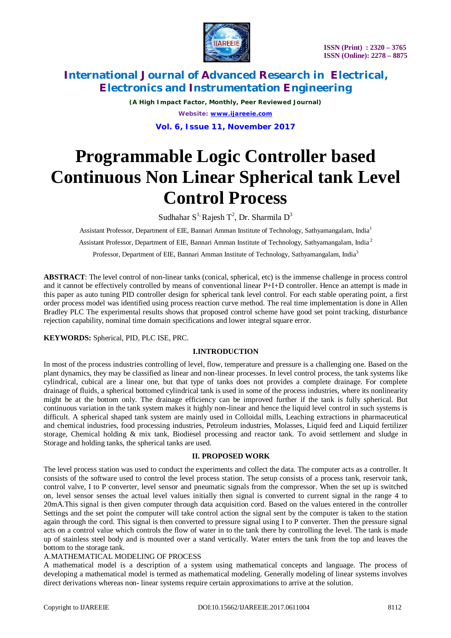

*(A High Impact Factor, Monthly, Peer Reviewed Journal) Website: [www.ijareeie.com](http://www.ijareeie.com)* **Vol. 6, Issue 11, November 2017**

# **Programmable Logic Controller based Continuous Non Linear Spherical tank Level Control Process**

Sudhahar S<sup>1,</sup> Rajesh T<sup>2</sup>, Dr. Sharmila D<sup>3</sup>

Assistant Professor, Department of EIE, Bannari Amman Institute of Technology, Sathyamangalam, India<sup>1</sup> Assistant Professor, Department of EIE, Bannari Amman Institute of Technology, Sathyamangalam, India <sup>2</sup> Professor, Department of EIE, Bannari Amman Institute of Technology, Sathyamangalam, India<sup>3</sup>

**ABSTRACT**: The level control of non-linear tanks (conical, spherical, etc) is the immense challenge in process control and it cannot be effectively controlled by means of conventional linear P+I+D controller. Hence an attempt is made in this paper as auto tuning PID controller design for spherical tank level control. For each stable operating point, a first order process model was identified using process reaction curve method. The real time implementation is done in Allen Bradley PLC The experimental results shows that proposed control scheme have good set point tracking, disturbance rejection capability, nominal time domain specifications and lower integral square error.

## **KEYWORDS:** Spherical, PID, PLC ISE, PRC.

## **I.INTRODUCTION**

In most of the process industries controlling of level, flow, temperature and pressure is a challenging one. Based on the plant dynamics, they may be classified as linear and non-linear processes. In level control process, the tank systems like cylindrical, cubical are a linear one, but that type of tanks does not provides a complete drainage. For complete drainage of fluids, a spherical bottomed cylindrical tank is used in some of the process industries, where its nonlinearity might be at the bottom only. The drainage efficiency can be improved further if the tank is fully spherical. But continuous variation in the tank system makes it highly non-linear and hence the liquid level control in such systems is difficult. A spherical shaped tank system are mainly used in Colloidal mills, Leaching extractions in pharmaceutical and chemical industries, food processing industries, Petroleum industries, Molasses, Liquid feed and Liquid fertilizer storage, Chemical holding & mix tank, Biodiesel processing and reactor tank. To avoid settlement and sludge in Storage and holding tanks, the spherical tanks are used.

## **II. PROPOSED WORK**

The level process station was used to conduct the experiments and collect the data. The computer acts as a controller. It consists of the software used to control the level process station. The setup consists of a process tank, reservoir tank, control valve, I to P converter, level sensor and pneumatic signals from the compressor. When the set up is switched on, level sensor senses the actual level values initially then signal is converted to current signal in the range 4 to 20mA.This signal is then given computer through data acquisition cord. Based on the values entered in the controller Settings and the set point the computer will take control action the signal sent by the computer is taken to the station again through the cord. This signal is then converted to pressure signal using I to P converter. Then the pressure signal acts on a control value which controls the flow of water in to the tank there by controlling the level. The tank is made up of stainless steel body and is mounted over a stand vertically. Water enters the tank from the top and leaves the bottom to the storage tank.

#### A.MATHEMATICAL MODELING OF PROCESS

A mathematical model is a description of a system using mathematical concepts and language. The process of developing a mathematical model is termed as mathematical modeling. Generally modeling of linear systems involves direct derivations whereas non- linear systems require certain approximations to arrive at the solution.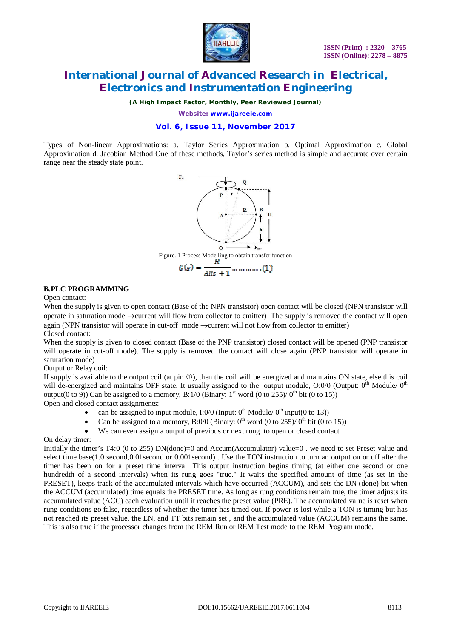

*(A High Impact Factor, Monthly, Peer Reviewed Journal)*

*Website: [www.ijareeie.com](http://www.ijareeie.com)*

## **Vol. 6, Issue 11, November 2017**

Types of Non-linear Approximations: a. Taylor Series Approximation b. Optimal Approximation c. Global Approximation d. Jacobian Method One of these methods, Taylor's series method is simple and accurate over certain range near the steady state point.



#### **B.PLC PROGRAMMING**

Open contact:

When the supply is given to open contact (Base of the NPN transistor) open contact will be closed (NPN transistor will operate in saturation mode  $\rightarrow$  current will flow from collector to emitter) The supply is removed the contact will open again (NPN transistor will operate in cut-off mode  $\rightarrow$  current will not flow from collector to emitter) Closed contact:

When the supply is given to closed contact (Base of the PNP transistor) closed contact will be opened (PNP transistor will operate in cut-off mode). The supply is removed the contact will close again (PNP transistor will operate in saturation mode)

Output or Relay coil:

If supply is available to the output coil (at pin  $\mathbb O$ ), then the coil will be energized and maintains ON state, else this coil will de-energized and maintains OFF state. It usually assigned to the output module,  $O:0/0$  (Output:  $0<sup>th</sup>$  Module/  $0<sup>th</sup>$ output(0 to 9)) Can be assigned to a memory, B:1/0 (Binary:  $1^{st}$  word (0 to 255)/ $0^{th}$  bit (0 to 15))

Open and closed contact assignments:

- can be assigned to input module, I:0/0 (Input:  $0<sup>th</sup>$  Module/  $0<sup>th</sup>$  input(0 to 13))
- Can be assigned to a memory, B:0/0 (Binary:  $0^{th}$  word (0 to 255)/  $0^{th}$  bit (0 to 15))
- We can even assign a output of previous or next rung to open or closed contact

On delay timer:

Initially the timer's T4:0 (0 to 255) DN(done)=0 and Accum(Accumulator) value=0, we need to set Preset value and select time base(1.0 second,0.01second or 0.001second) . Use the TON instruction to turn an output on or off after the timer has been on for a preset time interval. This output instruction begins timing (at either one second or one hundredth of a second intervals) when its rung goes "true." It waits the specified amount of time (as set in the PRESET), keeps track of the accumulated intervals which have occurred (ACCUM), and sets the DN (done) bit when the ACCUM (accumulated) time equals the PRESET time. As long as rung conditions remain true, the timer adjusts its accumulated value (ACC) each evaluation until it reaches the preset value (PRE). The accumulated value is reset when rung conditions go false, regardless of whether the timer has timed out. If power is lost while a TON is timing but has not reached its preset value, the EN, and TT bits remain set , and the accumulated value (ACCUM) remains the same. This is also true if the processor changes from the REM Run or REM Test mode to the REM Program mode.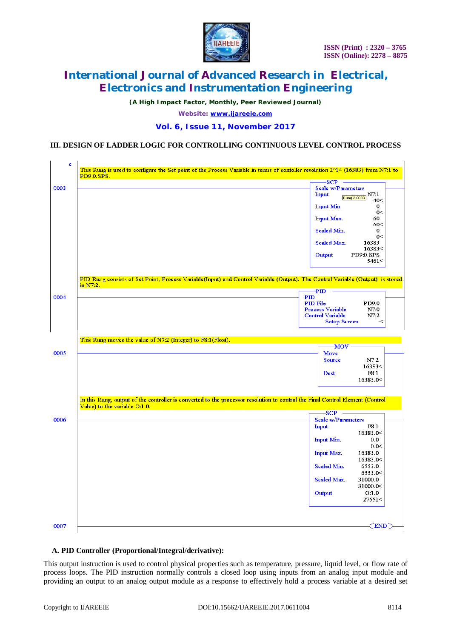

*(A High Impact Factor, Monthly, Peer Reviewed Journal)*

*Website: [www.ijareeie.com](http://www.ijareeie.com)*

## **Vol. 6, Issue 11, November 2017**

## **III. DESIGN OF LADDER LOGIC FOR CONTROLLING CONTINUOUS LEVEL CONTROL PROCESS**

| -SCP<br>Scale w/Parameters<br><b>Input</b><br>N7:1<br>Rung 2:0003<br>40<<br>Input Min.<br>0<br>0<<br>Input Max.<br>60<br>60<<br><b>Scaled Min.</b><br>0<br>0<<br><b>Scaled Max.</b><br>16383<br>16383<<br>PD9:0.SPS<br>Output<br>5461<<br>PID Rung consists of Set Point, Process Variable(Input) and Control Variable (Output). The Control Variable (Output) is stored<br>in N7.2.<br><b>PID</b><br>PID<br>PID File<br>PD9:0<br><b>Process Variable</b><br>N7:0<br><b>Control Variable</b><br>N7:2<br><b>Setup Screen</b><br>$\,<$<br>This Rung moves the value of N7:2 (Integer) to F8:1 (Float).<br>$-MOV -$<br>0005<br>Move<br>Source<br>N7:2<br>16383<<br>F8:1<br><b>Dest</b><br>16383.0<<br>In this Rung, output of the controller is converted to the processor resolution to control the Final Control Element (Control<br>Valve) to the variable O:1.0.<br>-SCP<br><b>Scale w/Parameters</b><br><b>Input</b><br>F8:1<br>16383.0<<br><b>Input Min.</b><br>0.0<br>0.0<<br>16383.0<br><b>Input Max.</b><br>16383.0<<br>Scaled Min.<br>6553.0<br>6553.0<<br>31000.0<br>Scaled Max.<br>31000.0<<br>Output<br>O:1.0<br>27551< | e          | This Rung is used to configure the Set point of the Process Variable in terms of contoller resolution $2^014$ (16383) from N7:1 to |
|-----------------------------------------------------------------------------------------------------------------------------------------------------------------------------------------------------------------------------------------------------------------------------------------------------------------------------------------------------------------------------------------------------------------------------------------------------------------------------------------------------------------------------------------------------------------------------------------------------------------------------------------------------------------------------------------------------------------------------------------------------------------------------------------------------------------------------------------------------------------------------------------------------------------------------------------------------------------------------------------------------------------------------------------------------------------------------------------------------------------------------------|------------|------------------------------------------------------------------------------------------------------------------------------------|
|                                                                                                                                                                                                                                                                                                                                                                                                                                                                                                                                                                                                                                                                                                                                                                                                                                                                                                                                                                                                                                                                                                                                   | PD9:0.SPS. |                                                                                                                                    |
|                                                                                                                                                                                                                                                                                                                                                                                                                                                                                                                                                                                                                                                                                                                                                                                                                                                                                                                                                                                                                                                                                                                                   | 0003       |                                                                                                                                    |
|                                                                                                                                                                                                                                                                                                                                                                                                                                                                                                                                                                                                                                                                                                                                                                                                                                                                                                                                                                                                                                                                                                                                   |            |                                                                                                                                    |
|                                                                                                                                                                                                                                                                                                                                                                                                                                                                                                                                                                                                                                                                                                                                                                                                                                                                                                                                                                                                                                                                                                                                   |            |                                                                                                                                    |
|                                                                                                                                                                                                                                                                                                                                                                                                                                                                                                                                                                                                                                                                                                                                                                                                                                                                                                                                                                                                                                                                                                                                   |            |                                                                                                                                    |
|                                                                                                                                                                                                                                                                                                                                                                                                                                                                                                                                                                                                                                                                                                                                                                                                                                                                                                                                                                                                                                                                                                                                   |            |                                                                                                                                    |
|                                                                                                                                                                                                                                                                                                                                                                                                                                                                                                                                                                                                                                                                                                                                                                                                                                                                                                                                                                                                                                                                                                                                   |            |                                                                                                                                    |
|                                                                                                                                                                                                                                                                                                                                                                                                                                                                                                                                                                                                                                                                                                                                                                                                                                                                                                                                                                                                                                                                                                                                   |            |                                                                                                                                    |
|                                                                                                                                                                                                                                                                                                                                                                                                                                                                                                                                                                                                                                                                                                                                                                                                                                                                                                                                                                                                                                                                                                                                   |            |                                                                                                                                    |
|                                                                                                                                                                                                                                                                                                                                                                                                                                                                                                                                                                                                                                                                                                                                                                                                                                                                                                                                                                                                                                                                                                                                   |            |                                                                                                                                    |
|                                                                                                                                                                                                                                                                                                                                                                                                                                                                                                                                                                                                                                                                                                                                                                                                                                                                                                                                                                                                                                                                                                                                   |            |                                                                                                                                    |
|                                                                                                                                                                                                                                                                                                                                                                                                                                                                                                                                                                                                                                                                                                                                                                                                                                                                                                                                                                                                                                                                                                                                   | 0004       |                                                                                                                                    |
|                                                                                                                                                                                                                                                                                                                                                                                                                                                                                                                                                                                                                                                                                                                                                                                                                                                                                                                                                                                                                                                                                                                                   |            |                                                                                                                                    |
|                                                                                                                                                                                                                                                                                                                                                                                                                                                                                                                                                                                                                                                                                                                                                                                                                                                                                                                                                                                                                                                                                                                                   |            |                                                                                                                                    |
|                                                                                                                                                                                                                                                                                                                                                                                                                                                                                                                                                                                                                                                                                                                                                                                                                                                                                                                                                                                                                                                                                                                                   |            |                                                                                                                                    |
|                                                                                                                                                                                                                                                                                                                                                                                                                                                                                                                                                                                                                                                                                                                                                                                                                                                                                                                                                                                                                                                                                                                                   |            |                                                                                                                                    |
|                                                                                                                                                                                                                                                                                                                                                                                                                                                                                                                                                                                                                                                                                                                                                                                                                                                                                                                                                                                                                                                                                                                                   |            |                                                                                                                                    |
|                                                                                                                                                                                                                                                                                                                                                                                                                                                                                                                                                                                                                                                                                                                                                                                                                                                                                                                                                                                                                                                                                                                                   |            |                                                                                                                                    |
|                                                                                                                                                                                                                                                                                                                                                                                                                                                                                                                                                                                                                                                                                                                                                                                                                                                                                                                                                                                                                                                                                                                                   |            |                                                                                                                                    |
|                                                                                                                                                                                                                                                                                                                                                                                                                                                                                                                                                                                                                                                                                                                                                                                                                                                                                                                                                                                                                                                                                                                                   |            |                                                                                                                                    |
|                                                                                                                                                                                                                                                                                                                                                                                                                                                                                                                                                                                                                                                                                                                                                                                                                                                                                                                                                                                                                                                                                                                                   |            |                                                                                                                                    |
|                                                                                                                                                                                                                                                                                                                                                                                                                                                                                                                                                                                                                                                                                                                                                                                                                                                                                                                                                                                                                                                                                                                                   |            |                                                                                                                                    |
|                                                                                                                                                                                                                                                                                                                                                                                                                                                                                                                                                                                                                                                                                                                                                                                                                                                                                                                                                                                                                                                                                                                                   |            |                                                                                                                                    |
|                                                                                                                                                                                                                                                                                                                                                                                                                                                                                                                                                                                                                                                                                                                                                                                                                                                                                                                                                                                                                                                                                                                                   | 0006       |                                                                                                                                    |
|                                                                                                                                                                                                                                                                                                                                                                                                                                                                                                                                                                                                                                                                                                                                                                                                                                                                                                                                                                                                                                                                                                                                   |            |                                                                                                                                    |
|                                                                                                                                                                                                                                                                                                                                                                                                                                                                                                                                                                                                                                                                                                                                                                                                                                                                                                                                                                                                                                                                                                                                   |            |                                                                                                                                    |
|                                                                                                                                                                                                                                                                                                                                                                                                                                                                                                                                                                                                                                                                                                                                                                                                                                                                                                                                                                                                                                                                                                                                   |            |                                                                                                                                    |
|                                                                                                                                                                                                                                                                                                                                                                                                                                                                                                                                                                                                                                                                                                                                                                                                                                                                                                                                                                                                                                                                                                                                   |            |                                                                                                                                    |
|                                                                                                                                                                                                                                                                                                                                                                                                                                                                                                                                                                                                                                                                                                                                                                                                                                                                                                                                                                                                                                                                                                                                   |            |                                                                                                                                    |
|                                                                                                                                                                                                                                                                                                                                                                                                                                                                                                                                                                                                                                                                                                                                                                                                                                                                                                                                                                                                                                                                                                                                   |            |                                                                                                                                    |
|                                                                                                                                                                                                                                                                                                                                                                                                                                                                                                                                                                                                                                                                                                                                                                                                                                                                                                                                                                                                                                                                                                                                   |            |                                                                                                                                    |
|                                                                                                                                                                                                                                                                                                                                                                                                                                                                                                                                                                                                                                                                                                                                                                                                                                                                                                                                                                                                                                                                                                                                   |            |                                                                                                                                    |
|                                                                                                                                                                                                                                                                                                                                                                                                                                                                                                                                                                                                                                                                                                                                                                                                                                                                                                                                                                                                                                                                                                                                   |            |                                                                                                                                    |
|                                                                                                                                                                                                                                                                                                                                                                                                                                                                                                                                                                                                                                                                                                                                                                                                                                                                                                                                                                                                                                                                                                                                   |            |                                                                                                                                    |
|                                                                                                                                                                                                                                                                                                                                                                                                                                                                                                                                                                                                                                                                                                                                                                                                                                                                                                                                                                                                                                                                                                                                   |            |                                                                                                                                    |
|                                                                                                                                                                                                                                                                                                                                                                                                                                                                                                                                                                                                                                                                                                                                                                                                                                                                                                                                                                                                                                                                                                                                   |            |                                                                                                                                    |
|                                                                                                                                                                                                                                                                                                                                                                                                                                                                                                                                                                                                                                                                                                                                                                                                                                                                                                                                                                                                                                                                                                                                   | 0007       | END                                                                                                                                |

#### **A. PID Controller (Proportional/Integral/derivative):**

This output instruction is used to control physical properties such as temperature, pressure, liquid level, or flow rate of process loops. The PID instruction normally controls a closed loop using inputs from an analog input module and providing an output to an analog output module as a response to effectively hold a process variable at a desired set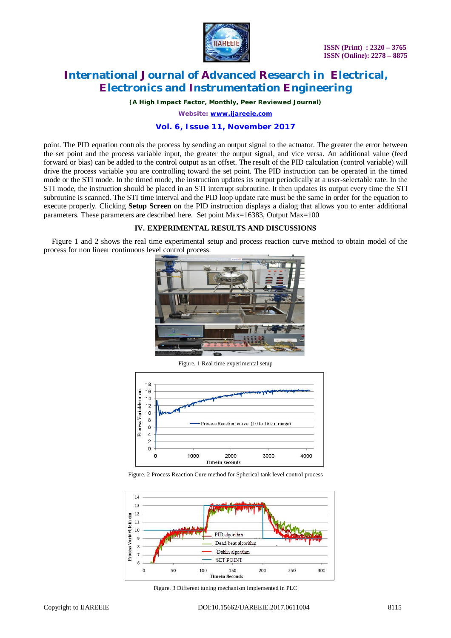

 **ISSN (Print) : 2320 – 3765 ISSN (Online): 2278 – 8875**

# **International Journal of Advanced Research in Electrical, Electronics and Instrumentation Engineering**

*(A High Impact Factor, Monthly, Peer Reviewed Journal)*

*Website: [www.ijareeie.com](http://www.ijareeie.com)*

#### **Vol. 6, Issue 11, November 2017**

point. The PID equation controls the process by sending an output signal to the actuator. The greater the error between the set point and the process variable input, the greater the output signal, and vice versa. An additional value (feed forward or bias) can be added to the control output as an offset. The result of the PID calculation (control variable) will drive the process variable you are controlling toward the set point. The PID instruction can be operated in the timed mode or the STI mode. In the timed mode, the instruction updates its output periodically at a user-selectable rate. In the STI mode, the instruction should be placed in an STI interrupt subroutine. It then updates its output every time the STI subroutine is scanned. The STI time interval and the PID loop update rate must be the same in order for the equation to execute properly. Clicking **Setup Screen** on the PID instruction displays a dialog that allows you to enter additional parameters. These parameters are described here. Set point Max=16383, Output Max=100

#### **IV. EXPERIMENTAL RESULTS AND DISCUSSIONS**

Figure 1 and 2 shows the real time experimental setup and process reaction curve method to obtain model of the process for non linear continuous level control process.



Figure. 1 Real time experimental setup



Figure. 2 Process Reaction Cure method for Spherical tank level control process



Figure. 3 Different tuning mechanism implemented in PLC